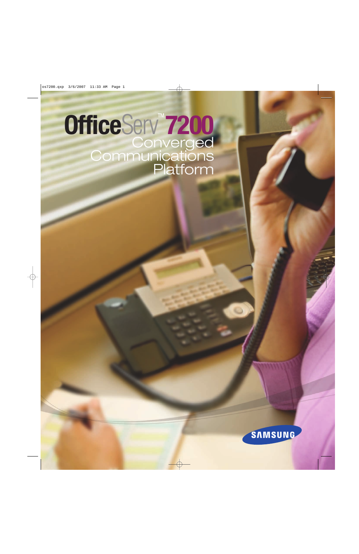# **OfficeServ"7200 Converged<br>Communications** Platform

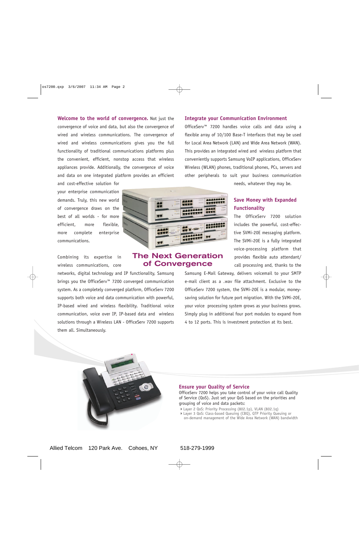**Welcome to the world of convergence.** Not just the convergence of voice and data, but also the convergence of wired and wireless communications. The convergence of wired and wireless communications gives you the full functionality of traditional communications platforms plus the convenient, efficient, nonstop access that wireless appliances provide. Additionally, the convergence of voice and data on one integrated platform provides an efficient

your enterprise communication demands. Truly, this new world of convergence draws on the best of all worlds - for more efficient, more flexible, more complete enterprise communications.

and cost-effective solution for

Combining its expertise in wireless communications, core

networks, digital technology and IP functionality, Samsung brings you the OfficeServ™ 7200 converged communication system. As a completely converged platform, OfficeServ 7200 supports both voice and data communication with powerful, IP-based wired and wireless flexibility. Traditional voice communication, voice over IP, IP-based data and wireless solutions through a Wireless LAN - OfficeServ 7200 supports them all. Simultaneously.

#### **MARKET FEET** m **AAA** FF F **ARABASE** 45555656 π.

ERES

# The Next Generation of Convergence

#### **Integrate your Communication Environment**

\*\*\*\*\*\*\*\*

**SEEEEEEE** 

OfficeServ™ 7200 handles voice calls and data using a flexible array of 10/100 Base-T interfaces that may be used for Local Area Network (LAN) and Wide Area Network (WAN). This provides an integrated wired and wireless platform that conveniently supports Samsung VoIP applications, OfficeServ Wireless (WLAN) phones, traditional phones, PCs, servers and other peripherals to suit your business communication

needs, whatever they may be.

# **Save Money with Expanded Functionality**

The OfficeServ 7200 solution includes the powerful, cost-effective SVMi-20E messaging platform. The SVMi-20E is a fully integrated voice-processing platform that provides flexible auto attendant/ call processing and, thanks to the

Samsung E-Mail Gateway, delivers voicemail to your SMTP e-mail client as a .wav file attachment. Exclusive to the OfficeServ 7200 system, the SVMi-20E is a modular, moneysaving solution for future port migration. With the SVMi-20E, your voice processing system grows as your business grows. Simply plug in additional four port modules to expand from 4 to 12 ports. This is investment protection at its best.



#### **Ensure your Quality of Service**

OfficeServ 7200 helps you take control of your voice call Quality of Service (QoS). Just set your QoS based on the priorities and grouping of voice and data packets:

- -Layer 2 QoS: Priority Processing (802.1p), VLAN (802.1q)
- -Layer 3 QoS: Class-based Queuing (CBQ), QTP Priority Queuing or on-demand management of the Wide Area Network (WAN) bandwidth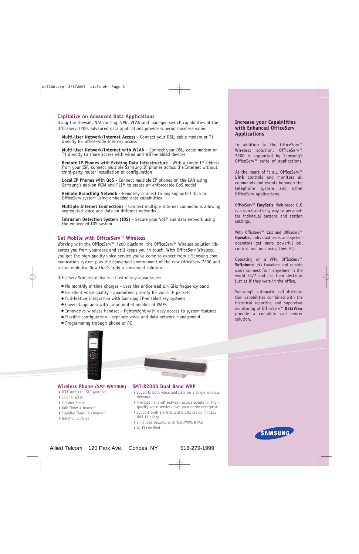## **Capitalize on Advanced Data Applications**

Using the firewall, NAT routing, VPN, VLAN and managed switch capabilities of the OfficeServ 7200, advanced data applications provide superior business value:

**Multi-User Network/Internet Access** - Connect your DSL, cable modem or T1 directly for office-wide Internet access

**Multi-User Network/Internet with WLAN** - Connect your DSL, cable modem or T1 directly to share access with wired and WiFi-enabled devices

**Remote IP Phones with Existing Data Infrastructure** - With a single IP address from your ISP, connect multiple Samsung IP phones across the Internet without third-party router installation or configuration

**Local IP Phones with QoS** - Connect multiple IP phones on the LAN using Samsung's add-on WIM and PLIM to create an enforceable QoS model

**Remote Branching Network** - Remotely connect to any supported iDCS or OfficeServ system using embedded data capabilities

**Multiple Internet Connections** - Connect multiple Internet connections allowing segregated voice and data on different networks

**Intrusion Detection System (IDS)** - Secure your VoIP and data network using the embedded IDS system

#### **Get Mobile with OfficeServ™ Wireless**

Working with the OfficeServ™ 7200 platform, the OfficeServ™ Wireless solution liberates you from your desk and still keeps you in touch. With OfficeServ Wireless, you get the high-quality voice service you've come to expect from a Samsung communication system plus the converged environment of the new OfficeServ 7200 and secure mobility. Now that's truly a converged solution.

OfficeServ Wireless delivers a host of key advantages:

- No monthly airtime charges uses the unlicensed 2.4 GHz frequency band
- Excellent voice quality guaranteed priority for voice IP packets
- Full-feature integration with Samsung IP-enabled key systems
- Covers large area with an unlimited number of WAPs
- Innovative wireless handset lightweight with easy access to system features
- Flexible configuration separate voice and data network management
- Programming through phone or PC

# **Increase your Capabilities with Enhanced OfficeServ Applications**

In addition to the OfficeServ™ Wireless solution, OfficeServ™ 7200 is supported by Samsung's OfficeServ™ suite of applications.

At the heart of it all, OfficeServ™ **Link** controls and monitors all commands and events between the telephone system and other OfficeServ applications.

OfficeServ™ **EasySet's** Web-based GUI is a quick and easy way to personalize individual buttons and station settings.

With OfficeServ™ **Call** and OfficeServ™ **Operator**, individual users and system operators get more powerful call control functions using their PCs.

Operating on a VPN, OfficeServ™ **Softphone** lets travelers and remote users connect from anywhere in the world 24/7 and use their desktops just as if they were in the office.

Samsung's automatic call distribution capabilities combined with the historical reporting and supervisor monitoring of OfficeServ™ **DataView** provide a complete call center solution.



## **Wireless Phone (SMT-W5100E)**

- -IEEE 802.11g, SIP protocol
- ▶ Color Display
- -Speaker Phone
- ▶ Talk Time: 4 hours\*\*
- -Standby Time: 40 hours\*\*
- ▶ Weight: 3.75 oz

#### **SMT-R2000 Dual Band WAP**

- -Supports both voice and data on a single wireless network
- -Provides hand-off between access points for highquality voice services over your entire enterprise
- -Support both 2.4 GHz and 5 GHz radios for IEEE 802.11 a/b/g
- -Enhanced security with WEP/WPA/WPA2
- -Wi-Fi Certified



Allied Telcom 120 Park Ave. Cohoes, NY 518-279-1999